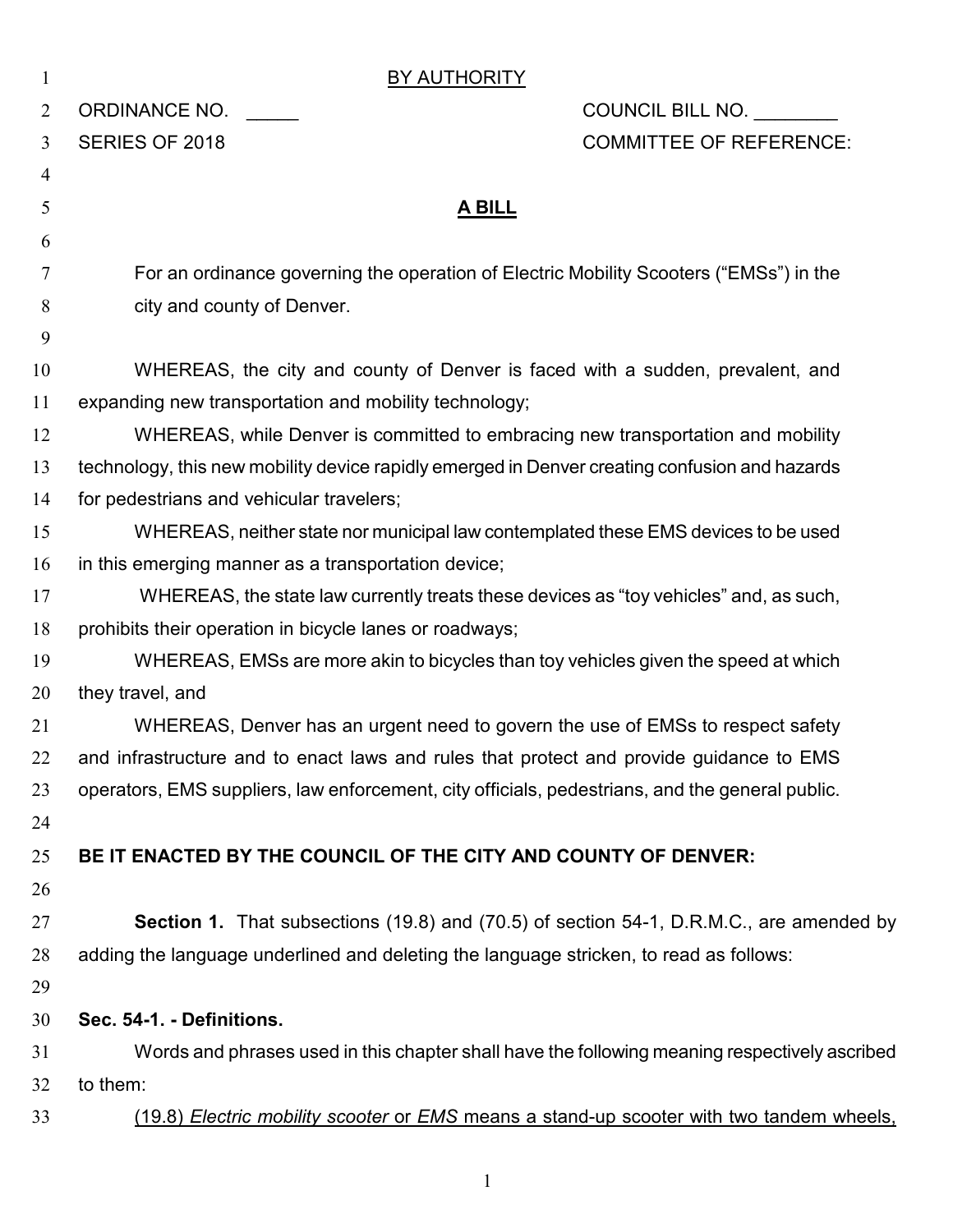| $\mathbf{1}$   | <b>BY AUTHORITY</b>                                                                             |                                |  |
|----------------|-------------------------------------------------------------------------------------------------|--------------------------------|--|
| $\overline{2}$ | ORDINANCE NO.                                                                                   | COUNCIL BILL NO.               |  |
| 3              | SERIES OF 2018                                                                                  | <b>COMMITTEE OF REFERENCE:</b> |  |
| $\overline{4}$ |                                                                                                 |                                |  |
| 5              | <u>A BILL</u>                                                                                   |                                |  |
| 6              |                                                                                                 |                                |  |
| 7              | For an ordinance governing the operation of Electric Mobility Scooters ("EMSs") in the          |                                |  |
| 8              | city and county of Denver.                                                                      |                                |  |
| 9              |                                                                                                 |                                |  |
| 10             | WHEREAS, the city and county of Denver is faced with a sudden, prevalent, and                   |                                |  |
| 11             | expanding new transportation and mobility technology;                                           |                                |  |
| 12             | WHEREAS, while Denver is committed to embracing new transportation and mobility                 |                                |  |
| 13             | technology, this new mobility device rapidly emerged in Denver creating confusion and hazards   |                                |  |
| 14             | for pedestrians and vehicular travelers;                                                        |                                |  |
| 15             | WHEREAS, neither state nor municipal law contemplated these EMS devices to be used              |                                |  |
| 16             | in this emerging manner as a transportation device;                                             |                                |  |
| 17             | WHEREAS, the state law currently treats these devices as "toy vehicles" and, as such,           |                                |  |
| 18             | prohibits their operation in bicycle lanes or roadways;                                         |                                |  |
| 19             | WHEREAS, EMSs are more akin to bicycles than toy vehicles given the speed at which              |                                |  |
| 20             | they travel, and                                                                                |                                |  |
| 21             | WHEREAS, Denver has an urgent need to govern the use of EMSs to respect safety                  |                                |  |
| 22             | and infrastructure and to enact laws and rules that protect and provide guidance to EMS         |                                |  |
| 23             | operators, EMS suppliers, law enforcement, city officials, pedestrians, and the general public. |                                |  |
| 24             |                                                                                                 |                                |  |
| 25             | BE IT ENACTED BY THE COUNCIL OF THE CITY AND COUNTY OF DENVER:                                  |                                |  |
| 26             |                                                                                                 |                                |  |
| 27             | Section 1. That subsections (19.8) and (70.5) of section 54-1, D.R.M.C., are amended by         |                                |  |
| 28             | adding the language underlined and deleting the language stricken, to read as follows:          |                                |  |
| 29             |                                                                                                 |                                |  |
| 30             | Sec. 54-1. - Definitions.                                                                       |                                |  |
| 31             | Words and phrases used in this chapter shall have the following meaning respectively ascribed   |                                |  |
| 32             | to them:                                                                                        |                                |  |
| 33             | (19.8) Electric mobility scooter or EMS means a stand-up scooter with two tandem wheels,        |                                |  |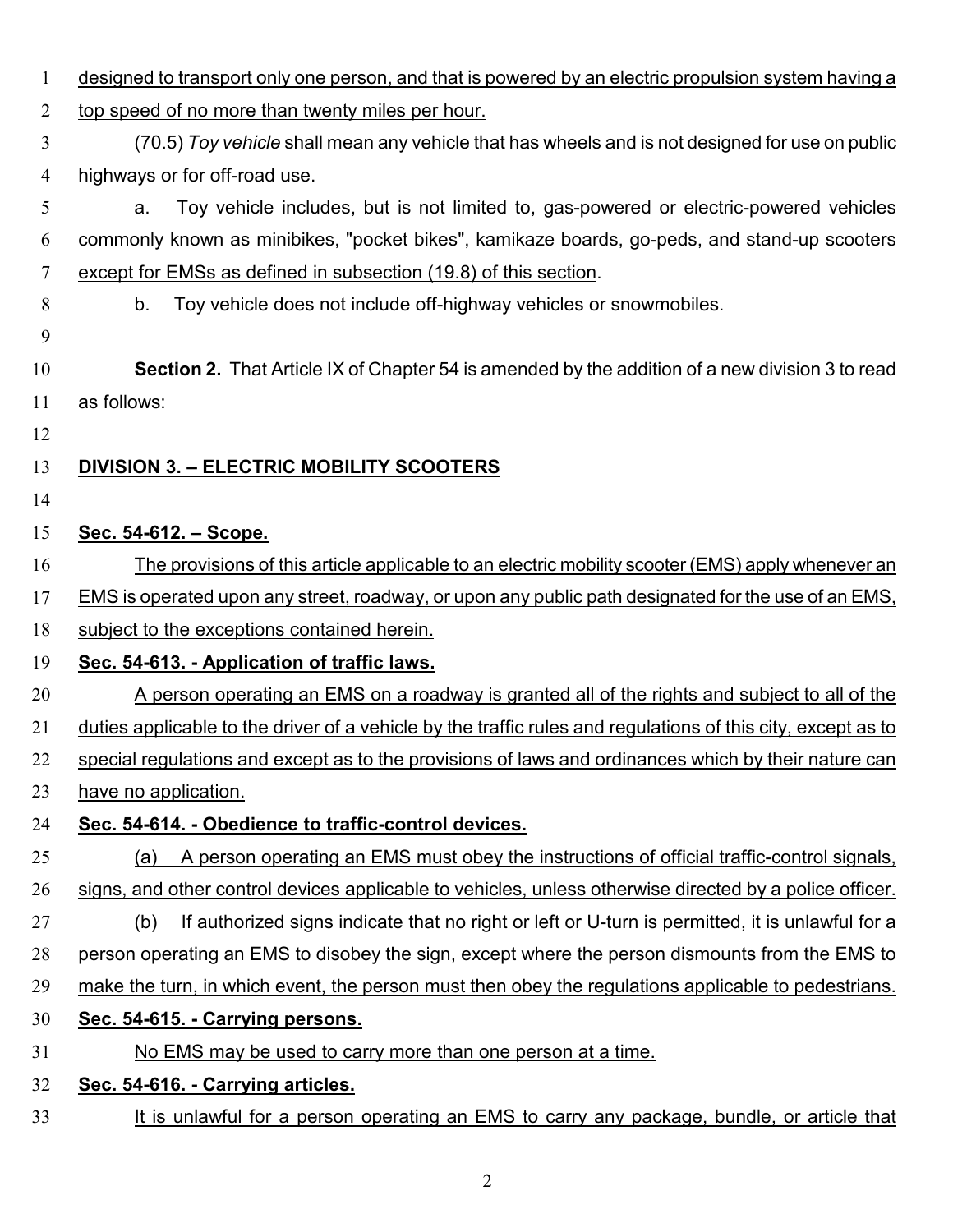designed to transport only one person, and that is powered by an electric propulsion system having a 2 top speed of no more than twenty miles per hour. (70.5) *Toy vehicle* shall mean any vehicle that has wheels and is not designed for use on public highways or for off-road use. a. Toy vehicle includes, but is not limited to, gas-powered or electric-powered vehicles commonly known as minibikes, "pocket bikes", kamikaze boards, go-peds, and stand-up scooters except for EMSs as defined in subsection (19.8) of this section. b. Toy vehicle does not include off-highway vehicles or snowmobiles. **Section 2.** That Article IX of Chapter 54 is amended by the addition of a new division 3 to read as follows: **DIVISION 3. – ELECTRIC MOBILITY SCOOTERS Sec. 54-612. – Scope.** The provisions of this article applicable to an electric mobility scooter (EMS) apply whenever an EMS is operated upon any street, roadway, or upon any public path designated for the use of an EMS, 18 subject to the exceptions contained herein. **Sec. 54-613. - Application of traffic laws.**  A person operating an EMS on a roadway is granted all of the rights and subject to all of the duties applicable to the driver of a vehicle by the traffic rules and regulations of this city, except as to special regulations and except as to the provisions of laws and ordinances which by their nature can have no application. **Sec. 54-614. - Obedience to traffic-control devices.**  (a) A person operating an EMS must obey the instructions of official traffic-control signals, 26 signs, and other control devices applicable to vehicles, unless otherwise directed by a police officer. (b) If authorized signs indicate that no right or left or U-turn is permitted, it is unlawful for a 28 person operating an EMS to disobey the sign, except where the person dismounts from the EMS to make the turn, in which event, the person must then obey the regulations applicable to pedestrians. **Sec. 54-615. - Carrying persons.**  No EMS may be used to carry more than one person at a time. **Sec. 54-616. - Carrying articles.**  33 It is unlawful for a person operating an EMS to carry any package, bundle, or article that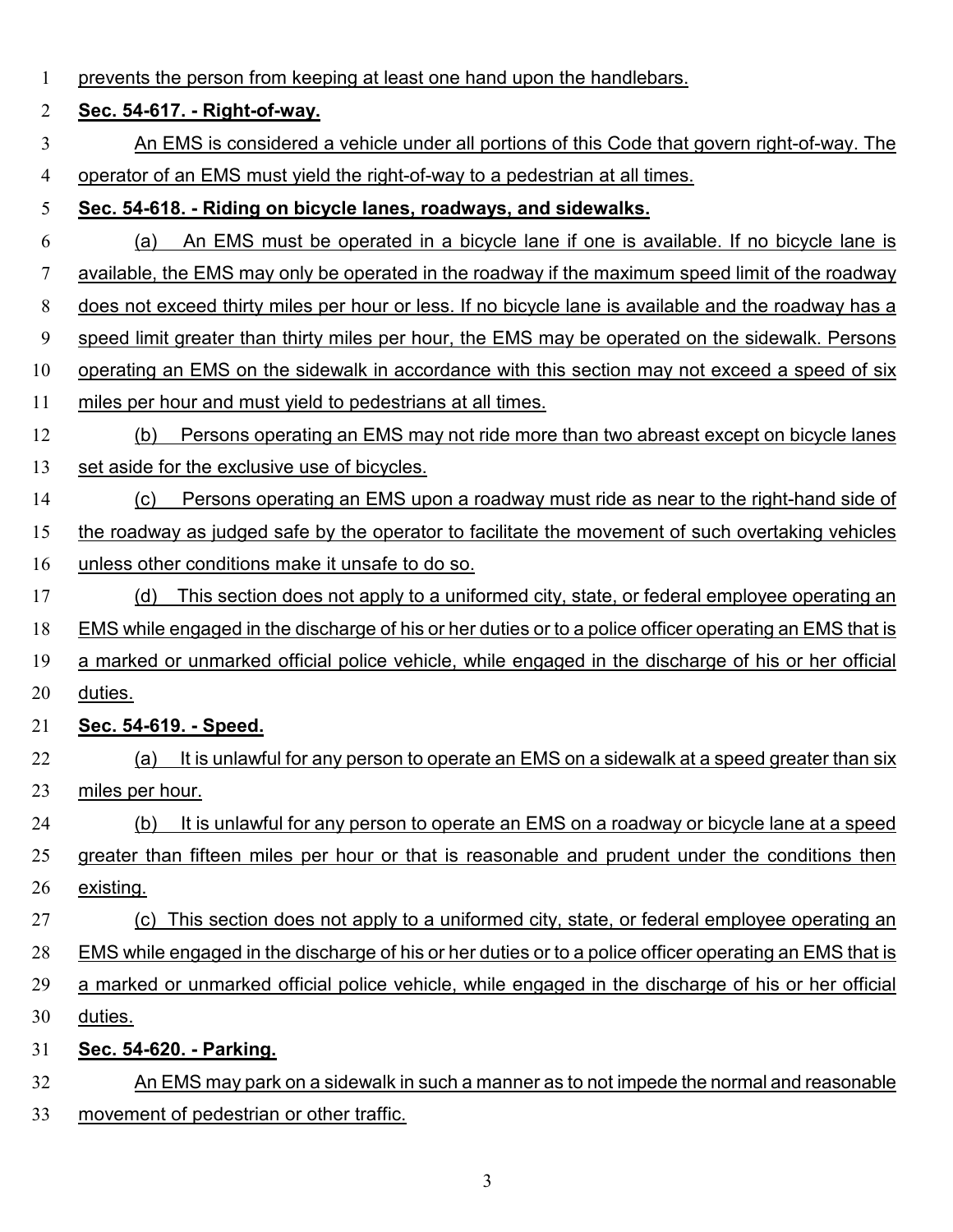| $\mathbf{1}$   | prevents the person from keeping at least one hand upon the handlebars.                                 |  |  |
|----------------|---------------------------------------------------------------------------------------------------------|--|--|
| 2              | Sec. 54-617. - Right-of-way.                                                                            |  |  |
| 3              | An EMS is considered a vehicle under all portions of this Code that govern right-of-way. The            |  |  |
| $\overline{4}$ | operator of an EMS must yield the right-of-way to a pedestrian at all times.                            |  |  |
| 5              | Sec. 54-618. - Riding on bicycle lanes, roadways, and sidewalks.                                        |  |  |
| 6              | An EMS must be operated in a bicycle lane if one is available. If no bicycle lane is<br>(a)             |  |  |
| 7              | available, the EMS may only be operated in the roadway if the maximum speed limit of the roadway        |  |  |
| 8              | does not exceed thirty miles per hour or less. If no bicycle lane is available and the roadway has a    |  |  |
| 9              | speed limit greater than thirty miles per hour, the EMS may be operated on the sidewalk. Persons        |  |  |
| 10             | operating an EMS on the sidewalk in accordance with this section may not exceed a speed of six          |  |  |
| 11             | miles per hour and must yield to pedestrians at all times.                                              |  |  |
| 12             | Persons operating an EMS may not ride more than two abreast except on bicycle lanes<br>(b)              |  |  |
| 13             | set aside for the exclusive use of bicycles.                                                            |  |  |
| 14             | Persons operating an EMS upon a roadway must ride as near to the right-hand side of<br>(c)              |  |  |
| 15             | the roadway as judged safe by the operator to facilitate the movement of such overtaking vehicles       |  |  |
| 16             | unless other conditions make it unsafe to do so.                                                        |  |  |
| 17             | This section does not apply to a uniformed city, state, or federal employee operating an<br>(d)         |  |  |
| 18             | EMS while engaged in the discharge of his or her duties or to a police officer operating an EMS that is |  |  |
| 19             | a marked or unmarked official police vehicle, while engaged in the discharge of his or her official     |  |  |
| 20             | duties.                                                                                                 |  |  |
| 21             | Sec. 54-619. - Speed.                                                                                   |  |  |
| 22             | It is unlawful for any person to operate an EMS on a sidewalk at a speed greater than six<br>(a)        |  |  |
| 23             | miles per hour.                                                                                         |  |  |
| 24             | It is unlawful for any person to operate an EMS on a roadway or bicycle lane at a speed<br>(b)          |  |  |
| 25             | greater than fifteen miles per hour or that is reasonable and prudent under the conditions then         |  |  |
| 26             | existing.                                                                                               |  |  |
| 27             | This section does not apply to a uniformed city, state, or federal employee operating an<br>(c)         |  |  |
| 28             | EMS while engaged in the discharge of his or her duties or to a police officer operating an EMS that is |  |  |
| 29             | a marked or unmarked official police vehicle, while engaged in the discharge of his or her official     |  |  |
| 30             | duties.                                                                                                 |  |  |
| 31             | Sec. 54-620. - Parking.                                                                                 |  |  |
| 32             | An EMS may park on a sidewalk in such a manner as to not impede the normal and reasonable               |  |  |
| 33             | movement of pedestrian or other traffic.                                                                |  |  |
|                |                                                                                                         |  |  |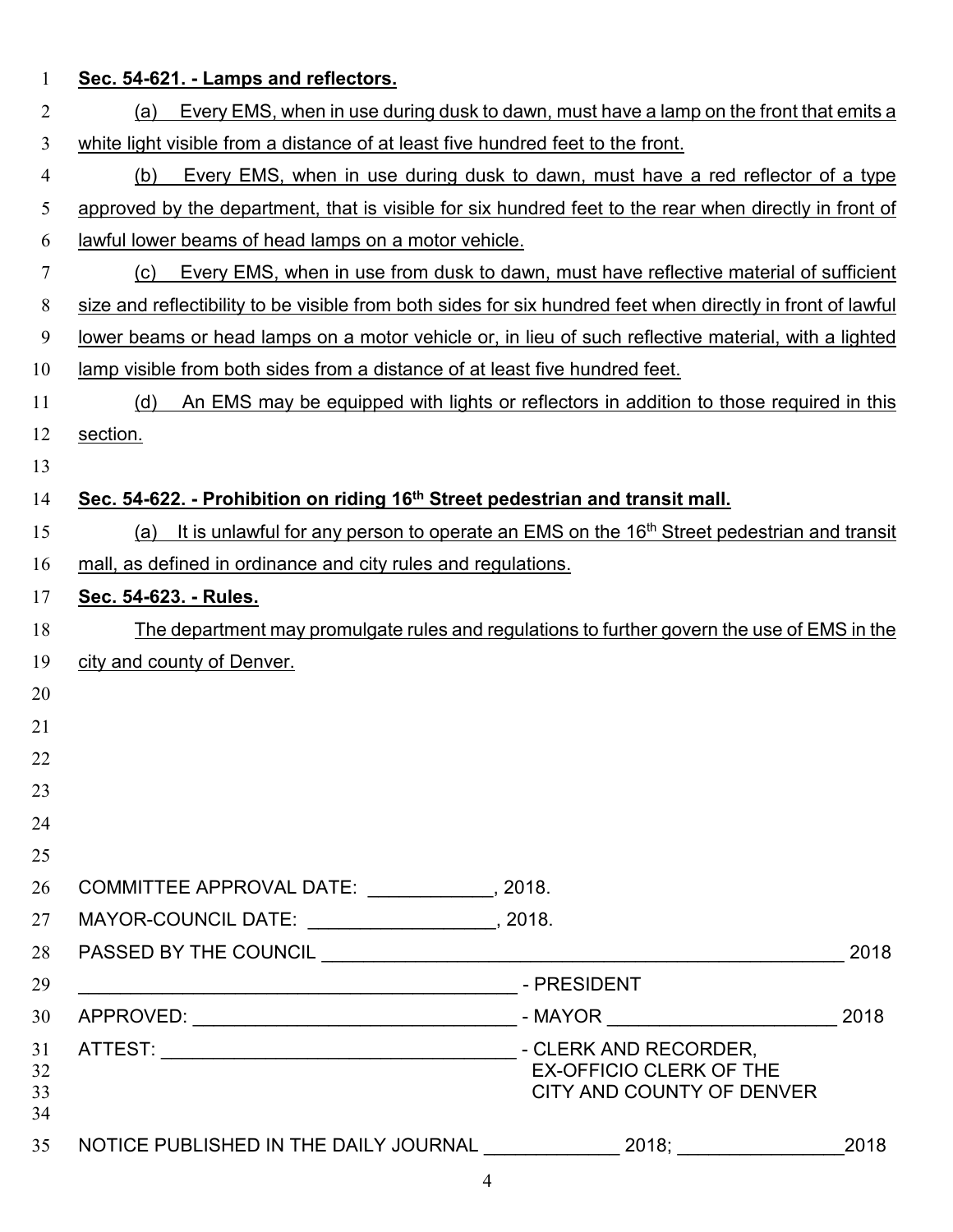| $\mathbf 1$    | Sec. 54-621. - Lamps and reflectors.                                                                         |  |  |
|----------------|--------------------------------------------------------------------------------------------------------------|--|--|
| $\overline{2}$ | Every EMS, when in use during dusk to dawn, must have a lamp on the front that emits a<br>(a)                |  |  |
| 3              | white light visible from a distance of at least five hundred feet to the front.                              |  |  |
| $\overline{4}$ | Every EMS, when in use during dusk to dawn, must have a red reflector of a type<br>(b)                       |  |  |
| 5              | approved by the department, that is visible for six hundred feet to the rear when directly in front of       |  |  |
| 6              | lawful lower beams of head lamps on a motor vehicle.                                                         |  |  |
| 7              | Every EMS, when in use from dusk to dawn, must have reflective material of sufficient<br>(c)                 |  |  |
| 8              | size and reflectibility to be visible from both sides for six hundred feet when directly in front of lawful  |  |  |
| 9              | lower beams or head lamps on a motor vehicle or, in lieu of such reflective material, with a lighted         |  |  |
| 10             | lamp visible from both sides from a distance of at least five hundred feet.                                  |  |  |
| 11             | (d)<br>An EMS may be equipped with lights or reflectors in addition to those required in this                |  |  |
| 12             | section.                                                                                                     |  |  |
| 13             |                                                                                                              |  |  |
| 14             | Sec. 54-622. - Prohibition on riding 16 <sup>th</sup> Street pedestrian and transit mall.                    |  |  |
| 15             | It is unlawful for any person to operate an EMS on the 16 <sup>th</sup> Street pedestrian and transit<br>(a) |  |  |
| 16             | mall, as defined in ordinance and city rules and regulations.                                                |  |  |
| 17             | <u>Sec. 54-623. - Rules.</u>                                                                                 |  |  |
| 18             | The department may promulgate rules and regulations to further govern the use of EMS in the                  |  |  |
| 19             | city and county of Denver.                                                                                   |  |  |
| 20             |                                                                                                              |  |  |
| 21             |                                                                                                              |  |  |
| 22             |                                                                                                              |  |  |
| 23             |                                                                                                              |  |  |
| 24             |                                                                                                              |  |  |
| 25             |                                                                                                              |  |  |
| 26             | COMMITTEE APPROVAL DATE: _____________, 2018.                                                                |  |  |
| 27             | MAYOR-COUNCIL DATE: _____________________, 2018.                                                             |  |  |
| 28             | 2018                                                                                                         |  |  |
| 29             |                                                                                                              |  |  |
| 30             | 2018                                                                                                         |  |  |
| 31<br>32<br>33 | <b>EX-OFFICIO CLERK OF THE</b><br>CITY AND COUNTY OF DENVER                                                  |  |  |

|  | NOTICE PUBLISHED IN THE DAILY JOURNAL |  |  |
|--|---------------------------------------|--|--|
|--|---------------------------------------|--|--|